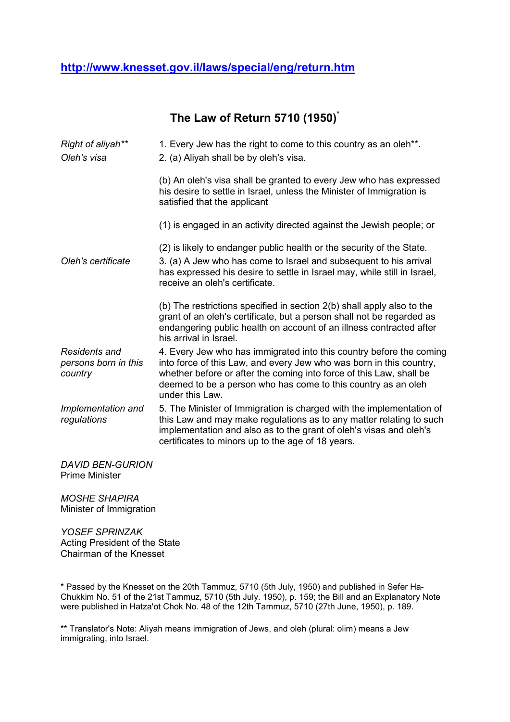## **http://www.knesset.gov.il/laws/special/eng/return.htm**

**The Law of Return 5710 (1950)\***

| Right of aliyah**<br>Oleh's visa                        | 1. Every Jew has the right to come to this country as an oleh <sup>**</sup> .<br>2. (a) Aliyah shall be by oleh's visa.                                                                                                                                                                               |
|---------------------------------------------------------|-------------------------------------------------------------------------------------------------------------------------------------------------------------------------------------------------------------------------------------------------------------------------------------------------------|
|                                                         | (b) An oleh's visa shall be granted to every Jew who has expressed<br>his desire to settle in Israel, unless the Minister of Immigration is<br>satisfied that the applicant                                                                                                                           |
|                                                         | (1) is engaged in an activity directed against the Jewish people; or                                                                                                                                                                                                                                  |
| Oleh's certificate                                      | (2) is likely to endanger public health or the security of the State.<br>3. (a) A Jew who has come to Israel and subsequent to his arrival<br>has expressed his desire to settle in Israel may, while still in Israel,<br>receive an oleh's certificate.                                              |
|                                                         | (b) The restrictions specified in section 2(b) shall apply also to the<br>grant of an oleh's certificate, but a person shall not be regarded as<br>endangering public health on account of an illness contracted after<br>his arrival in Israel.                                                      |
| <b>Residents and</b><br>persons born in this<br>country | 4. Every Jew who has immigrated into this country before the coming<br>into force of this Law, and every Jew who was born in this country,<br>whether before or after the coming into force of this Law, shall be<br>deemed to be a person who has come to this country as an oleh<br>under this Law. |
| Implementation and<br>regulations                       | 5. The Minister of Immigration is charged with the implementation of<br>this Law and may make regulations as to any matter relating to such<br>implementation and also as to the grant of oleh's visas and oleh's<br>certificates to minors up to the age of 18 years.                                |
| <b>DAVID BEN-GURION</b><br><b>Prime Minister</b>        |                                                                                                                                                                                                                                                                                                       |

*MOSHE SHAPIRA* Minister of Immigration

*YOSEF SPRINZAK* Acting President of the State Chairman of the Knesset

\* Passed by the Knesset on the 20th Tammuz, 5710 (5th July, 1950) and published in Sefer Ha-Chukkim No. 51 of the 21st Tammuz, 5710 (5th July. 1950), p. 159; the Bill and an Explanatory Note were published in Hatza'ot Chok No. 48 of the 12th Tammuz, 5710 (27th June, 1950), p. 189.

\*\* Translator's Note: Aliyah means immigration of Jews, and oleh (plural: olim) means a Jew immigrating, into Israel.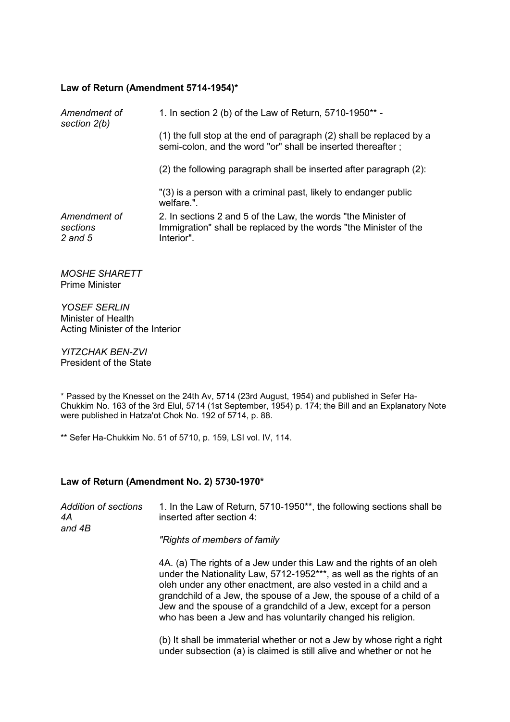## **Law of Return (Amendment 5714-1954)\***

| Amendment of<br>section 2(b)        | 1. In section 2 (b) of the Law of Return, 5710-1950** -                                                                                         |
|-------------------------------------|-------------------------------------------------------------------------------------------------------------------------------------------------|
|                                     | (1) the full stop at the end of paragraph (2) shall be replaced by a<br>semi-colon, and the word "or" shall be inserted thereafter;             |
|                                     | (2) the following paragraph shall be inserted after paragraph (2):                                                                              |
|                                     | "(3) is a person with a criminal past, likely to endanger public<br>welfare.".                                                                  |
| Amendment of<br>sections<br>2 and 5 | 2. In sections 2 and 5 of the Law, the words "the Minister of<br>Immigration" shall be replaced by the words "the Minister of the<br>Interior". |

*MOSHE SHARETT* Prime Minister

*YOSEF SERLIN* Minister of Health Acting Minister of the Interior

*YITZCHAK BEN-ZVI* President of the State

\* Passed by the Knesset on the 24th Av, 5714 (23rd August, 1954) and published in Sefer Ha-Chukkim No. 163 of the 3rd Elul, 5714 (1st September, 1954) p. 174; the Bill and an Explanatory Note were published in Hatza'ot Chok No. 192 of 5714, p. 88.

\*\* Sefer Ha-Chukkim No. 51 of 5710, p. 159, LSI vol. IV, 114.

## **Law of Return (Amendment No. 2) 5730-1970\***

| Addition of sections<br>4A<br>and 4B | 1. In the Law of Return, 5710-1950**, the following sections shall be<br>inserted after section 4:                                                                                                                                                                                                                                                                                                                           |
|--------------------------------------|------------------------------------------------------------------------------------------------------------------------------------------------------------------------------------------------------------------------------------------------------------------------------------------------------------------------------------------------------------------------------------------------------------------------------|
|                                      | "Rights of members of family                                                                                                                                                                                                                                                                                                                                                                                                 |
|                                      | 4A. (a) The rights of a Jew under this Law and the rights of an oleh<br>under the Nationality Law, 5712-1952***, as well as the rights of an<br>oleh under any other enactment, are also vested in a child and a<br>grandchild of a Jew, the spouse of a Jew, the spouse of a child of a<br>Jew and the spouse of a grandchild of a Jew, except for a person<br>who has been a Jew and has voluntarily changed his religion. |
|                                      | (b) It shall be immaterial whether or not a Jew by whose right a right                                                                                                                                                                                                                                                                                                                                                       |

under subsection (a) is claimed is still alive and whether or not he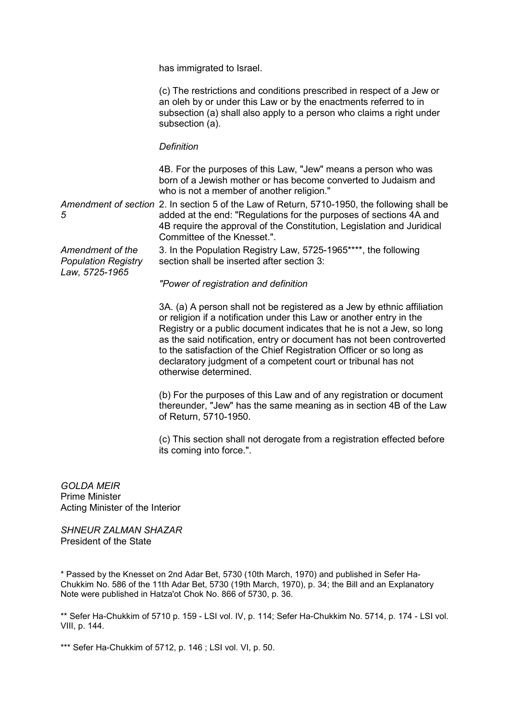has immigrated to Israel.

(c) The restrictions and conditions prescribed in respect of a Jew or an oleh by or under this Law or by the enactments referred to in subsection (a) shall also apply to a person who claims a right under subsection (a).

## *Definition*

4B. For the purposes of this Law, "Jew" means a person who was born of a Jewish mother or has become converted to Judaism and who is not a member of another religion."

Amendment of section 2. In section 5 of the Law of Return, 5710-1950, the following shall be *5* added at the end: "Regulations for the purposes of sections 4A and 4B require the approval of the Constitution, Legislation and Juridical Committee of the Knesset.".

*Amendment of the Population Registry Law, 5725-1965*

3. In the Population Registry Law, 5725-1965\*\*\*\*, the following section shall be inserted after section 3:

*"Power of registration and definition*

3A. (a) A person shall not be registered as a Jew by ethnic affiliation or religion if a notification under this Law or another entry in the Registry or a public document indicates that he is not a Jew, so long as the said notification, entry or document has not been controverted to the satisfaction of the Chief Registration Officer or so long as declaratory judgment of a competent court or tribunal has not otherwise determined.

(b) For the purposes of this Law and of any registration or document thereunder, "Jew" has the same meaning as in section 4B of the Law of Return, 5710-1950.

(c) This section shall not derogate from a registration effected before its coming into force.".

*GOLDA MEIR* Prime Minister Acting Minister of the Interior

*SHNEUR ZALMAN SHAZAR* President of the State

\* Passed by the Knesset on 2nd Adar Bet, 5730 (10th March, 1970) and published in Sefer Ha-Chukkim No. 586 of the 11th Adar Bet, 5730 (19th March, 1970), p. 34; the Bill and an Explanatory Note were published in Hatza'ot Chok No. 866 of 5730, p. 36.

\*\* Sefer Ha-Chukkim of 5710 p. 159 - LSI vol. IV, p. 114; Sefer Ha-Chukkim No. 5714, p. 174 - LSI vol. VIII, p. 144.

\*\*\* Sefer Ha-Chukkim of 5712, p. 146 ; LSI vol. VI, p. 50.